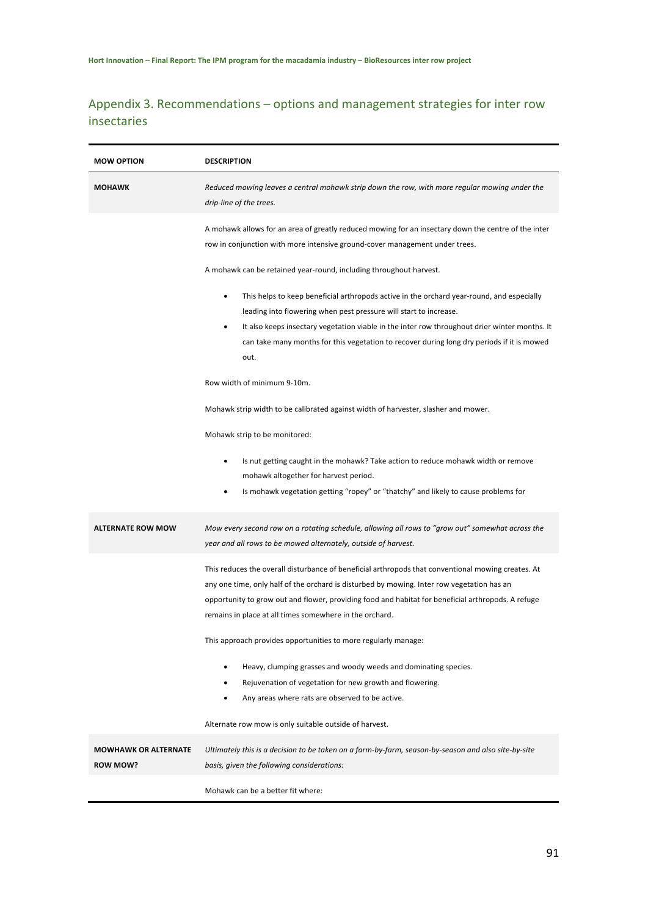## Appendix 3. Recommendations – options and management strategies for inter row insectaries

| <b>MOW OPTION</b>           | <b>DESCRIPTION</b>                                                                                                                                                                                                                                                                                                                                                                                                                                                                                                                                                                                                                                                                   |
|-----------------------------|--------------------------------------------------------------------------------------------------------------------------------------------------------------------------------------------------------------------------------------------------------------------------------------------------------------------------------------------------------------------------------------------------------------------------------------------------------------------------------------------------------------------------------------------------------------------------------------------------------------------------------------------------------------------------------------|
| <b>MOHAWK</b>               | Reduced mowing leaves a central mohawk strip down the row, with more regular mowing under the<br>drip-line of the trees.                                                                                                                                                                                                                                                                                                                                                                                                                                                                                                                                                             |
|                             | A mohawk allows for an area of greatly reduced mowing for an insectary down the centre of the inter<br>row in conjunction with more intensive ground-cover management under trees.                                                                                                                                                                                                                                                                                                                                                                                                                                                                                                   |
|                             | A mohawk can be retained year-round, including throughout harvest.                                                                                                                                                                                                                                                                                                                                                                                                                                                                                                                                                                                                                   |
|                             | This helps to keep beneficial arthropods active in the orchard year-round, and especially<br>٠<br>leading into flowering when pest pressure will start to increase.<br>It also keeps insectary vegetation viable in the inter row throughout drier winter months. It<br>٠<br>can take many months for this vegetation to recover during long dry periods if it is mowed<br>out.                                                                                                                                                                                                                                                                                                      |
|                             | Row width of minimum 9-10m.                                                                                                                                                                                                                                                                                                                                                                                                                                                                                                                                                                                                                                                          |
|                             | Mohawk strip width to be calibrated against width of harvester, slasher and mower.                                                                                                                                                                                                                                                                                                                                                                                                                                                                                                                                                                                                   |
|                             | Mohawk strip to be monitored:                                                                                                                                                                                                                                                                                                                                                                                                                                                                                                                                                                                                                                                        |
|                             | Is nut getting caught in the mohawk? Take action to reduce mohawk width or remove<br>٠<br>mohawk altogether for harvest period.<br>Is mohawk vegetation getting "ropey" or "thatchy" and likely to cause problems for                                                                                                                                                                                                                                                                                                                                                                                                                                                                |
| <b>ALTERNATE ROW MOW</b>    | Mow every second row on a rotating schedule, allowing all rows to "grow out" somewhat across the<br>year and all rows to be mowed alternately, outside of harvest.                                                                                                                                                                                                                                                                                                                                                                                                                                                                                                                   |
|                             | This reduces the overall disturbance of beneficial arthropods that conventional mowing creates. At<br>any one time, only half of the orchard is disturbed by mowing. Inter row vegetation has an<br>opportunity to grow out and flower, providing food and habitat for beneficial arthropods. A refuge<br>remains in place at all times somewhere in the orchard.<br>This approach provides opportunities to more regularly manage:<br>Heavy, clumping grasses and woody weeds and dominating species.<br>٠<br>Rejuvenation of vegetation for new growth and flowering.<br>Any areas where rats are observed to be active.<br>Alternate row mow is only suitable outside of harvest. |
| <b>MOWHAWK OR ALTERNATE</b> | Ultimately this is a decision to be taken on a farm-by-farm, season-by-season and also site-by-site                                                                                                                                                                                                                                                                                                                                                                                                                                                                                                                                                                                  |
| <b>ROW MOW?</b>             | basis, given the following considerations:                                                                                                                                                                                                                                                                                                                                                                                                                                                                                                                                                                                                                                           |
|                             | Mohawk can be a better fit where:                                                                                                                                                                                                                                                                                                                                                                                                                                                                                                                                                                                                                                                    |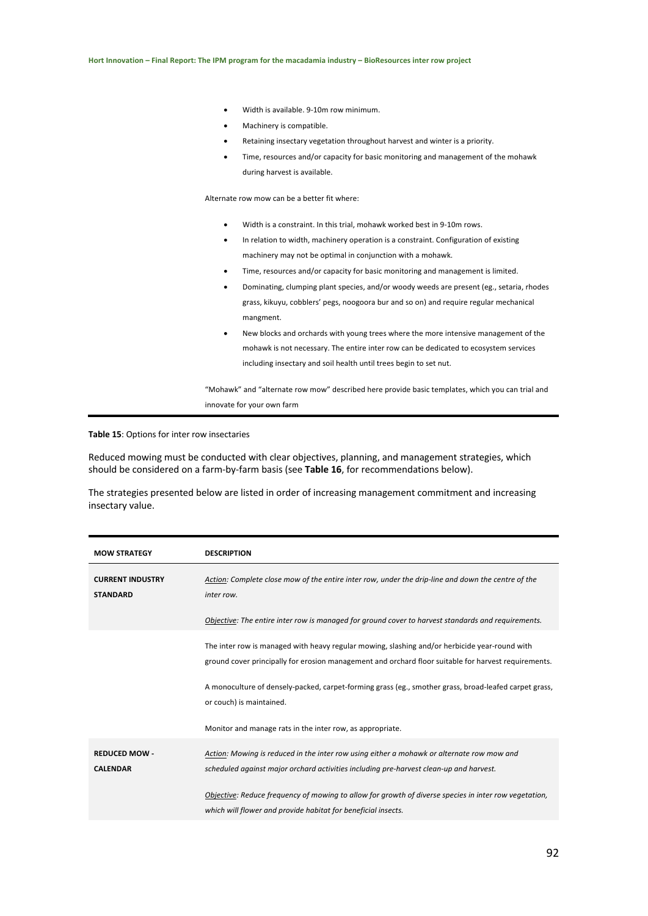- Width is available. 9-10m row minimum.
- Machinery is compatible.
- Retaining insectary vegetation throughout harvest and winter is a priority.
- Time, resources and/or capacity for basic monitoring and management of the mohawk during harvest is available.

Alternate row mow can be a better fit where:

- Width is a constraint. In this trial, mohawk worked best in 9-10m rows.
- In relation to width, machinery operation is a constraint. Configuration of existing machinery may not be optimal in conjunction with a mohawk.
- Time, resources and/or capacity for basic monitoring and management is limited.
- Dominating, clumping plant species, and/or woody weeds are present (eg., setaria, rhodes grass, kikuyu, cobblers' pegs, noogoora bur and so on) and require regular mechanical mangment.
- New blocks and orchards with young trees where the more intensive management of the mohawk is not necessary. The entire inter row can be dedicated to ecosystem services including insectary and soil health until trees begin to set nut.

"Mohawk" and "alternate row mow" described here provide basic templates, which you can trial and innovate for your own farm

**Table 15**: Options for inter row insectaries

Reduced mowing must be conducted with clear objectives, planning, and management strategies, which should be considered on a farm-by-farm basis (see **Table 16**, for recommendations below).

The strategies presented below are listed in order of increasing management commitment and increasing insectary value.

| <b>MOW STRATEGY</b>                        | <b>DESCRIPTION</b>                                                                                                                                                                                    |
|--------------------------------------------|-------------------------------------------------------------------------------------------------------------------------------------------------------------------------------------------------------|
| <b>CURRENT INDUSTRY</b><br><b>STANDARD</b> | Action: Complete close mow of the entire inter row, under the drip-line and down the centre of the<br>inter row.                                                                                      |
|                                            | Objective: The entire inter row is managed for ground cover to harvest standards and requirements.                                                                                                    |
|                                            | The inter row is managed with heavy regular mowing, slashing and/or herbicide year-round with<br>ground cover principally for erosion management and orchard floor suitable for harvest requirements. |
|                                            | A monoculture of densely-packed, carpet-forming grass (eg., smother grass, broad-leafed carpet grass,<br>or couch) is maintained.                                                                     |
|                                            | Monitor and manage rats in the inter row, as appropriate.                                                                                                                                             |
| <b>REDUCED MOW -</b><br><b>CALENDAR</b>    | Action: Mowing is reduced in the inter row using either a mohawk or alternate row mow and<br>scheduled against major orchard activities including pre-harvest clean-up and harvest.                   |
|                                            | Objective: Reduce frequency of mowing to allow for growth of diverse species in inter row vegetation,<br>which will flower and provide habitat for beneficial insects.                                |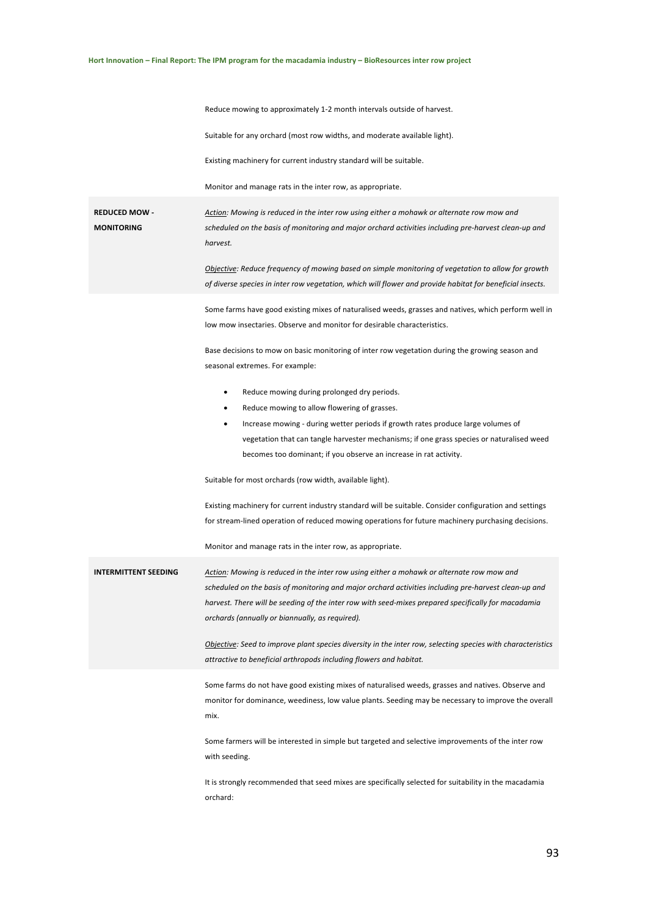|                                           | Reduce mowing to approximately 1-2 month intervals outside of harvest.                                                                                                                                                                                                                                                                                      |
|-------------------------------------------|-------------------------------------------------------------------------------------------------------------------------------------------------------------------------------------------------------------------------------------------------------------------------------------------------------------------------------------------------------------|
|                                           | Suitable for any orchard (most row widths, and moderate available light).                                                                                                                                                                                                                                                                                   |
|                                           | Existing machinery for current industry standard will be suitable.                                                                                                                                                                                                                                                                                          |
|                                           | Monitor and manage rats in the inter row, as appropriate.                                                                                                                                                                                                                                                                                                   |
| <b>REDUCED MOW -</b><br><b>MONITORING</b> | Action: Mowing is reduced in the inter row using either a mohawk or alternate row mow and<br>scheduled on the basis of monitoring and major orchard activities including pre-harvest clean-up and<br>harvest.                                                                                                                                               |
|                                           | Objective: Reduce frequency of mowing based on simple monitoring of vegetation to allow for growth<br>of diverse species in inter row vegetation, which will flower and provide habitat for beneficial insects.                                                                                                                                             |
|                                           | Some farms have good existing mixes of naturalised weeds, grasses and natives, which perform well in<br>low mow insectaries. Observe and monitor for desirable characteristics.                                                                                                                                                                             |
|                                           | Base decisions to mow on basic monitoring of inter row vegetation during the growing season and<br>seasonal extremes. For example:                                                                                                                                                                                                                          |
|                                           | Reduce mowing during prolonged dry periods.<br>$\bullet$                                                                                                                                                                                                                                                                                                    |
|                                           | Reduce mowing to allow flowering of grasses.                                                                                                                                                                                                                                                                                                                |
|                                           | Increase mowing - during wetter periods if growth rates produce large volumes of<br>٠<br>vegetation that can tangle harvester mechanisms; if one grass species or naturalised weed                                                                                                                                                                          |
|                                           | becomes too dominant, if you observe an increase in rat activity.                                                                                                                                                                                                                                                                                           |
|                                           | Suitable for most orchards (row width, available light).                                                                                                                                                                                                                                                                                                    |
|                                           | Existing machinery for current industry standard will be suitable. Consider configuration and settings                                                                                                                                                                                                                                                      |
|                                           | for stream-lined operation of reduced mowing operations for future machinery purchasing decisions.                                                                                                                                                                                                                                                          |
|                                           | Monitor and manage rats in the inter row, as appropriate.                                                                                                                                                                                                                                                                                                   |
| <b>INTERMITTENT SEEDING</b>               | Action: Mowing is reduced in the inter row using either a mohawk or alternate row mow and<br>scheduled on the basis of monitoring and major orchard activities including pre-harvest clean-up and<br>harvest. There will be seeding of the inter row with seed-mixes prepared specifically for macadamia<br>orchards (annually or biannually, as required). |
|                                           | Objective: Seed to improve plant species diversity in the inter row, selecting species with characteristics<br>attractive to beneficial arthropods including flowers and habitat.                                                                                                                                                                           |
|                                           | Some farms do not have good existing mixes of naturalised weeds, grasses and natives. Observe and<br>monitor for dominance, weediness, low value plants. Seeding may be necessary to improve the overall<br>mix.                                                                                                                                            |
|                                           | Some farmers will be interested in simple but targeted and selective improvements of the inter row<br>with seeding.                                                                                                                                                                                                                                         |
|                                           | It is strongly recommended that seed mixes are specifically selected for suitability in the macadamia<br>orchard:                                                                                                                                                                                                                                           |